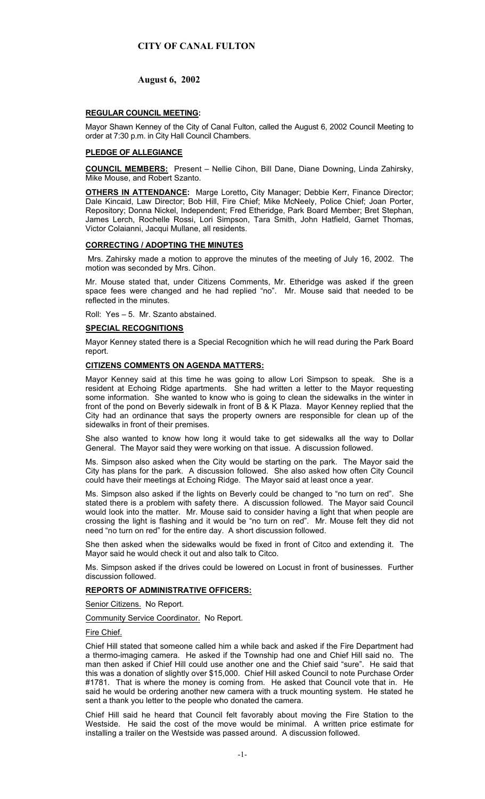# **August 6, 2002**

## **REGULAR COUNCIL MEETING:**

Mayor Shawn Kenney of the City of Canal Fulton, called the August 6, 2002 Council Meeting to order at 7:30 p.m. in City Hall Council Chambers.

## **PLEDGE OF ALLEGIANCE**

**COUNCIL MEMBERS:** Present – Nellie Cihon, Bill Dane, Diane Downing, Linda Zahirsky, Mike Mouse, and Robert Szanto.

**OTHERS IN ATTENDANCE:** Marge Loretto, City Manager; Debbie Kerr, Finance Director; Dale Kincaid, Law Director; Bob Hill, Fire Chief; Mike McNeely, Police Chief; Joan Porter, Repository; Donna Nickel, Independent; Fred Etheridge, Park Board Member; Bret Stephan, James Lerch, Rochelle Rossi, Lori Simpson, Tara Smith, John Hatfield, Garnet Thomas, Victor Colaianni, Jacqui Mullane, all residents.

## **CORRECTING / ADOPTING THE MINUTES**

Mrs. Zahirsky made a motion to approve the minutes of the meeting of July 16, 2002. The motion was seconded by Mrs. Cihon.

Mr. Mouse stated that, under Citizens Comments, Mr. Etheridge was asked if the green space fees were changed and he had replied "no". Mr. Mouse said that needed to be reflected in the minutes.

Roll: Yes – 5. Mr. Szanto abstained.

## **SPECIAL RECOGNITIONS**

Mayor Kenney stated there is a Special Recognition which he will read during the Park Board report.

## **CITIZENS COMMENTS ON AGENDA MATTERS:**

Mayor Kenney said at this time he was going to allow Lori Simpson to speak. She is a resident at Echoing Ridge apartments. She had written a letter to the Mayor requesting some information. She wanted to know who is going to clean the sidewalks in the winter in front of the pond on Beverly sidewalk in front of B & K Plaza. Mayor Kenney replied that the City had an ordinance that says the property owners are responsible for clean up of the sidewalks in front of their premises.

She also wanted to know how long it would take to get sidewalks all the way to Dollar General. The Mayor said they were working on that issue. A discussion followed.

Ms. Simpson also asked when the City would be starting on the park. The Mayor said the City has plans for the park. A discussion followed. She also asked how often City Council could have their meetings at Echoing Ridge. The Mayor said at least once a year.

Ms. Simpson also asked if the lights on Beverly could be changed to "no turn on red". She stated there is a problem with safety there. A discussion followed. The Mayor said Council would look into the matter. Mr. Mouse said to consider having a light that when people are crossing the light is flashing and it would be "no turn on red". Mr. Mouse felt they did not need "no turn on red" for the entire day. A short discussion followed.

She then asked when the sidewalks would be fixed in front of Citco and extending it. The Mayor said he would check it out and also talk to Citco.

Ms. Simpson asked if the drives could be lowered on Locust in front of businesses. Further discussion followed.

## **REPORTS OF ADMINISTRATIVE OFFICERS:**

Senior Citizens. No Report.

Community Service Coordinator. No Report.

Fire Chief.

Chief Hill stated that someone called him a while back and asked if the Fire Department had a thermo-imaging camera. He asked if the Township had one and Chief Hill said no. The man then asked if Chief Hill could use another one and the Chief said "sure". He said that this was a donation of slightly over \$15,000. Chief Hill asked Council to note Purchase Order #1781. That is where the money is coming from. He asked that Council vote that in. He said he would be ordering another new camera with a truck mounting system. He stated he sent a thank you letter to the people who donated the camera.

Chief Hill said he heard that Council felt favorably about moving the Fire Station to the Westside. He said the cost of the move would be minimal. A written price estimate for installing a trailer on the Westside was passed around. A discussion followed.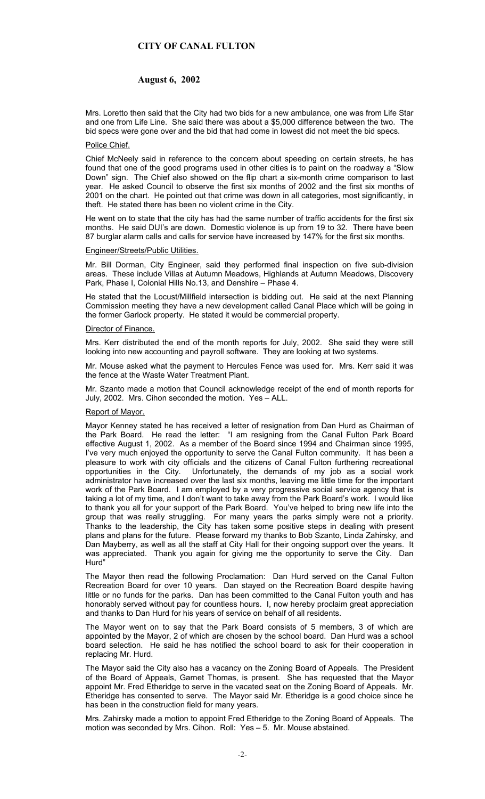## **August 6, 2002**

Mrs. Loretto then said that the City had two bids for a new ambulance, one was from Life Star and one from Life Line. She said there was about a \$5,000 difference between the two. The bid specs were gone over and the bid that had come in lowest did not meet the bid specs.

#### Police Chief.

Chief McNeely said in reference to the concern about speeding on certain streets, he has found that one of the good programs used in other cities is to paint on the roadway a "Slow Down" sign. The Chief also showed on the flip chart a six-month crime comparison to last year. He asked Council to observe the first six months of 2002 and the first six months of 2001 on the chart. He pointed out that crime was down in all categories, most significantly, in theft. He stated there has been no violent crime in the City.

He went on to state that the city has had the same number of traffic accidents for the first six months. He said DUI's are down. Domestic violence is up from 19 to 32. There have been 87 burglar alarm calls and calls for service have increased by 147% for the first six months.

#### Engineer/Streets/Public Utilities.

Mr. Bill Dorman, City Engineer, said they performed final inspection on five sub-division areas. These include Villas at Autumn Meadows, Highlands at Autumn Meadows, Discovery Park, Phase I, Colonial Hills No.13, and Denshire – Phase 4.

He stated that the Locust/Millfield intersection is bidding out. He said at the next Planning Commission meeting they have a new development called Canal Place which will be going in the former Garlock property. He stated it would be commercial property.

#### Director of Finance.

Mrs. Kerr distributed the end of the month reports for July, 2002. She said they were still looking into new accounting and payroll software. They are looking at two systems.

Mr. Mouse asked what the payment to Hercules Fence was used for. Mrs. Kerr said it was the fence at the Waste Water Treatment Plant.

Mr. Szanto made a motion that Council acknowledge receipt of the end of month reports for July, 2002. Mrs. Cihon seconded the motion. Yes – ALL.

#### Report of Mayor.

Mayor Kenney stated he has received a letter of resignation from Dan Hurd as Chairman of the Park Board. He read the letter: "I am resigning from the Canal Fulton Park Board effective August 1, 2002. As a member of the Board since 1994 and Chairman since 1995, I've very much enjoyed the opportunity to serve the Canal Fulton community. It has been a pleasure to work with city officials and the citizens of Canal Fulton furthering recreational opportunities in the City. Unfortunately, the demands of my job as a social work administrator have increased over the last six months, leaving me little time for the important work of the Park Board. I am employed by a very progressive social service agency that is taking a lot of my time, and I don't want to take away from the Park Board's work. I would like to thank you all for your support of the Park Board. You've helped to bring new life into the group that was really struggling. For many years the parks simply were not a priority. Thanks to the leadership, the City has taken some positive steps in dealing with present plans and plans for the future. Please forward my thanks to Bob Szanto, Linda Zahirsky, and Dan Mayberry, as well as all the staff at City Hall for their ongoing support over the years. It was appreciated. Thank you again for giving me the opportunity to serve the City. Dan Hurd"

The Mayor then read the following Proclamation: Dan Hurd served on the Canal Fulton Recreation Board for over 10 years. Dan stayed on the Recreation Board despite having little or no funds for the parks. Dan has been committed to the Canal Fulton youth and has honorably served without pay for countless hours. I, now hereby proclaim great appreciation and thanks to Dan Hurd for his years of service on behalf of all residents.

The Mayor went on to say that the Park Board consists of 5 members, 3 of which are appointed by the Mayor, 2 of which are chosen by the school board. Dan Hurd was a school board selection. He said he has notified the school board to ask for their cooperation in replacing Mr. Hurd.

The Mayor said the City also has a vacancy on the Zoning Board of Appeals. The President of the Board of Appeals, Garnet Thomas, is present. She has requested that the Mayor appoint Mr. Fred Etheridge to serve in the vacated seat on the Zoning Board of Appeals. Mr. Etheridge has consented to serve. The Mayor said Mr. Etheridge is a good choice since he has been in the construction field for many years.

Mrs. Zahirsky made a motion to appoint Fred Etheridge to the Zoning Board of Appeals. The motion was seconded by Mrs. Cihon. Roll: Yes – 5. Mr. Mouse abstained.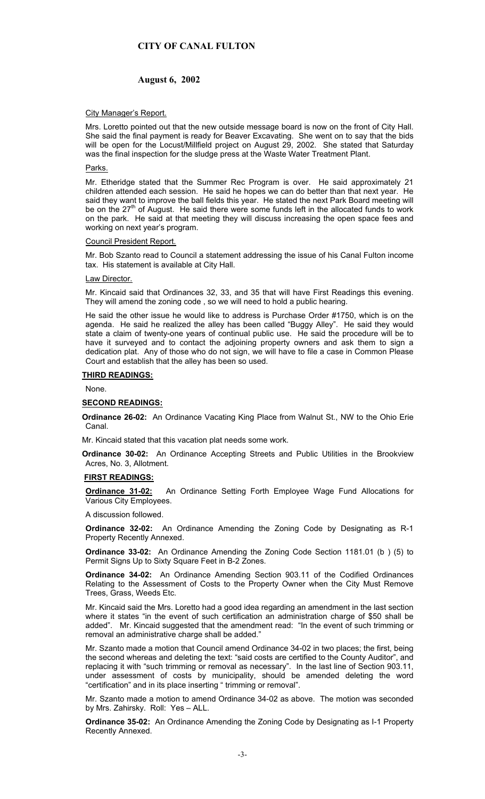# **August 6, 2002**

## City Manager's Report.

Mrs. Loretto pointed out that the new outside message board is now on the front of City Hall. She said the final payment is ready for Beaver Excavating. She went on to say that the bids will be open for the Locust/Millfield project on August 29, 2002. She stated that Saturday was the final inspection for the sludge press at the Waste Water Treatment Plant.

### Parks.

Mr. Etheridge stated that the Summer Rec Program is over. He said approximately 21 children attended each session. He said he hopes we can do better than that next year. He said they want to improve the ball fields this year. He stated the next Park Board meeting will be on the  $27<sup>th</sup>$  of August. He said there were some funds left in the allocated funds to work on the park. He said at that meeting they will discuss increasing the open space fees and working on next year's program.

#### Council President Report.

Mr. Bob Szanto read to Council a statement addressing the issue of his Canal Fulton income tax. His statement is available at City Hall.

#### Law Director.

Mr. Kincaid said that Ordinances 32, 33, and 35 that will have First Readings this evening. They will amend the zoning code , so we will need to hold a public hearing.

He said the other issue he would like to address is Purchase Order #1750, which is on the agenda. He said he realized the alley has been called "Buggy Alley". He said they would state a claim of twenty-one years of continual public use. He said the procedure will be to have it surveyed and to contact the adjoining property owners and ask them to sign a dedication plat. Any of those who do not sign, we will have to file a case in Common Please Court and establish that the alley has been so used.

#### **THIRD READINGS:**

None.

### **SECOND READINGS:**

**Ordinance 26-02:** An Ordinance Vacating King Place from Walnut St., NW to the Ohio Erie Canal.

Mr. Kincaid stated that this vacation plat needs some work.

**Ordinance 30-02:** An Ordinance Accepting Streets and Public Utilities in the Brookview Acres, No. 3, Allotment.

### **FIRST READINGS:**

**Ordinance 31-02:** An Ordinance Setting Forth Employee Wage Fund Allocations for Various City Employees.

A discussion followed.

**Ordinance 32-02:** An Ordinance Amending the Zoning Code by Designating as R-1 Property Recently Annexed.

**Ordinance 33-02:** An Ordinance Amending the Zoning Code Section 1181.01 (b ) (5) to Permit Signs Up to Sixty Square Feet in B-2 Zones.

**Ordinance 34-02:** An Ordinance Amending Section 903.11 of the Codified Ordinances Relating to the Assessment of Costs to the Property Owner when the City Must Remove Trees, Grass, Weeds Etc.

Mr. Kincaid said the Mrs. Loretto had a good idea regarding an amendment in the last section where it states "in the event of such certification an administration charge of \$50 shall be added". Mr. Kincaid suggested that the amendment read: "In the event of such trimming or removal an administrative charge shall be added."

Mr. Szanto made a motion that Council amend Ordinance 34-02 in two places; the first, being the second whereas and deleting the text: "said costs are certified to the County Auditor", and replacing it with "such trimming or removal as necessary". In the last line of Section 903.11, under assessment of costs by municipality, should be amended deleting the word "certification" and in its place inserting " trimming or removal".

Mr. Szanto made a motion to amend Ordinance 34-02 as above. The motion was seconded by Mrs. Zahirsky. Roll: Yes – ALL.

**Ordinance 35-02:** An Ordinance Amending the Zoning Code by Designating as I-1 Property Recently Annexed.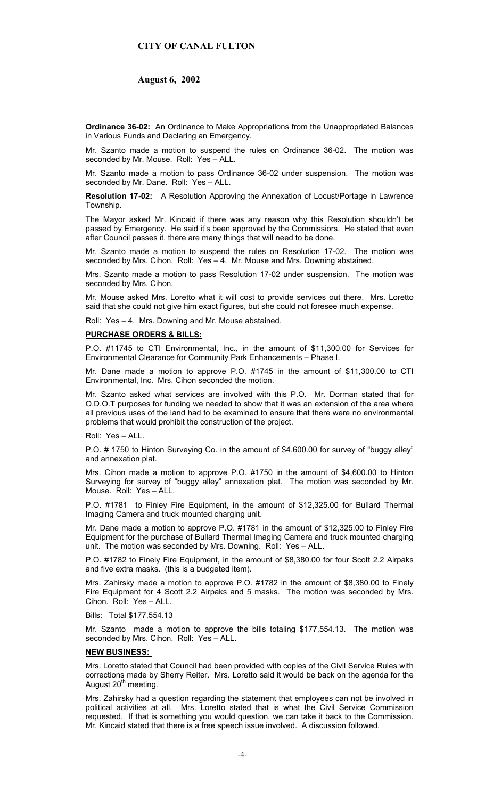## **August 6, 2002**

**Ordinance 36-02:** An Ordinance to Make Appropriations from the Unappropriated Balances in Various Funds and Declaring an Emergency.

Mr. Szanto made a motion to suspend the rules on Ordinance 36-02. The motion was seconded by Mr. Mouse. Roll: Yes – ALL.

Mr. Szanto made a motion to pass Ordinance 36-02 under suspension. The motion was seconded by Mr. Dane. Roll: Yes - ALL.

**Resolution 17-02:** A Resolution Approving the Annexation of Locust/Portage in Lawrence **Township.** 

The Mayor asked Mr. Kincaid if there was any reason why this Resolution shouldn't be passed by Emergency. He said it's been approved by the Commissiors. He stated that even after Council passes it, there are many things that will need to be done.

Mr. Szanto made a motion to suspend the rules on Resolution 17-02. The motion was seconded by Mrs. Cihon. Roll: Yes - 4. Mr. Mouse and Mrs. Downing abstained.

Mrs. Szanto made a motion to pass Resolution 17-02 under suspension. The motion was seconded by Mrs. Cihon.

Mr. Mouse asked Mrs. Loretto what it will cost to provide services out there. Mrs. Loretto said that she could not give him exact figures, but she could not foresee much expense.

Roll: Yes – 4. Mrs. Downing and Mr. Mouse abstained.

## **PURCHASE ORDERS & BILLS:**

P.O. #11745 to CTI Environmental, Inc., in the amount of \$11,300.00 for Services for Environmental Clearance for Community Park Enhancements – Phase I.

Mr. Dane made a motion to approve P.O. #1745 in the amount of \$11,300.00 to CTI Environmental, Inc. Mrs. Cihon seconded the motion.

Mr. Szanto asked what services are involved with this P.O. Mr. Dorman stated that for O.D.O.T purposes for funding we needed to show that it was an extension of the area where all previous uses of the land had to be examined to ensure that there were no environmental problems that would prohibit the construction of the project.

Roll: Yes – ALL.

P.O. # 1750 to Hinton Surveying Co. in the amount of \$4,600.00 for survey of "buggy alley" and annexation plat.

Mrs. Cihon made a motion to approve P.O. #1750 in the amount of \$4,600.00 to Hinton Surveying for survey of "buggy alley" annexation plat. The motion was seconded by Mr. Mouse. Roll: Yes – ALL.

P.O. #1781 to Finley Fire Equipment, in the amount of \$12,325.00 for Bullard Thermal Imaging Camera and truck mounted charging unit.

Mr. Dane made a motion to approve P.O. #1781 in the amount of \$12,325.00 to Finley Fire Equipment for the purchase of Bullard Thermal Imaging Camera and truck mounted charging unit. The motion was seconded by Mrs. Downing. Roll: Yes – ALL.

P.O. #1782 to Finely Fire Equipment, in the amount of \$8,380.00 for four Scott 2.2 Airpaks and five extra masks. (this is a budgeted item).

Mrs. Zahirsky made a motion to approve P.O. #1782 in the amount of \$8,380.00 to Finely Fire Equipment for 4 Scott 2.2 Airpaks and 5 masks. The motion was seconded by Mrs. Cihon. Roll: Yes – ALL.

Bills: Total \$177,554.13

Mr. Szanto made a motion to approve the bills totaling \$177,554.13. The motion was seconded by Mrs. Cihon. Roll: Yes – ALL.

# **NEW BUSINESS:**

Mrs. Loretto stated that Council had been provided with copies of the Civil Service Rules with corrections made by Sherry Reiter. Mrs. Loretto said it would be back on the agenda for the August 20<sup>th</sup> meeting.

Mrs. Zahirsky had a question regarding the statement that employees can not be involved in political activities at all. Mrs. Loretto stated that is what the Civil Service Commission requested. If that is something you would question, we can take it back to the Commission. Mr. Kincaid stated that there is a free speech issue involved. A discussion followed.